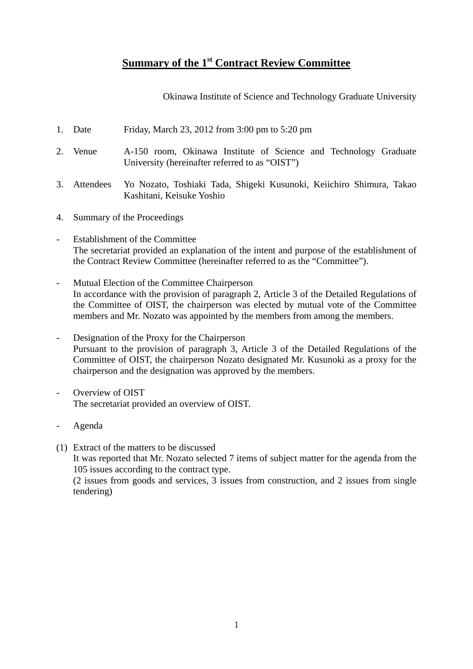### **Summary of the 1st Contract Review Committee**

Okinawa Institute of Science and Technology Graduate University

- 1. Date Friday, March 23, 2012 from 3:00 pm to 5:20 pm
- 2. Venue A-150 room, Okinawa Institute of Science and Technology Graduate University (hereinafter referred to as "OIST")
- 3. Attendees Yo Nozato, Toshiaki Tada, Shigeki Kusunoki, Keiichiro Shimura, Takao Kashitani, Keisuke Yoshio
- 4. Summary of the Proceedings
- Establishment of the Committee The secretariat provided an explanation of the intent and purpose of the establishment of the Contract Review Committee (hereinafter referred to as the "Committee").
- Mutual Election of the Committee Chairperson In accordance with the provision of paragraph 2, Article 3 of the Detailed Regulations of the Committee of OIST, the chairperson was elected by mutual vote of the Committee members and Mr. Nozato was appointed by the members from among the members.
- Designation of the Proxy for the Chairperson Pursuant to the provision of paragraph 3, Article 3 of the Detailed Regulations of the Committee of OIST, the chairperson Nozato designated Mr. Kusunoki as a proxy for the chairperson and the designation was approved by the members.
- Overview of OIST The secretariat provided an overview of OIST.
- Agenda
- (1) Extract of the matters to be discussed It was reported that Mr. Nozato selected 7 items of subject matter for the agenda from the 105 issues according to the contract type. (2 issues from goods and services, 3 issues from construction, and 2 issues from single tendering)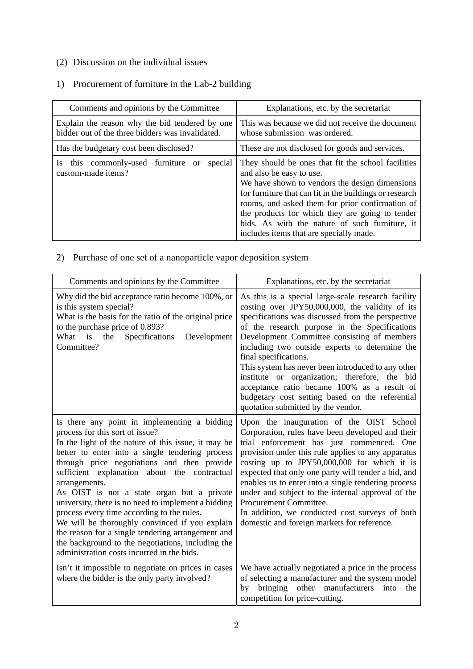#### (2) Discussion on the individual issues

# 1) Procurement of furniture in the Lab-2 building

| Comments and opinions by the Committee                                                             | Explanations, etc. by the secretariat                                                                                                                                                                                                                                                                                                                                                          |
|----------------------------------------------------------------------------------------------------|------------------------------------------------------------------------------------------------------------------------------------------------------------------------------------------------------------------------------------------------------------------------------------------------------------------------------------------------------------------------------------------------|
| Explain the reason why the bid tendered by one<br>bidder out of the three bidders was invalidated. | This was because we did not receive the document<br>whose submission was ordered.                                                                                                                                                                                                                                                                                                              |
| Has the budgetary cost been disclosed?                                                             | These are not disclosed for goods and services.                                                                                                                                                                                                                                                                                                                                                |
| Is this commonly-used furniture or<br>special<br>custom-made items?                                | They should be ones that fit the school facilities<br>and also be easy to use.<br>We have shown to vendors the design dimensions<br>for furniture that can fit in the buildings or research<br>rooms, and asked them for prior confirmation of<br>the products for which they are going to tender<br>bids. As with the nature of such furniture, it<br>includes items that are specially made. |

#### 2) Purchase of one set of a nanoparticle vapor deposition system

| Comments and opinions by the Committee                                                                                                                                                                                                                                                                                                                                                                                                                                                                                                                                                                                                                                 | Explanations, etc. by the secretariat                                                                                                                                                                                                                                                                                                                                                                                                                                                                                                                                                |
|------------------------------------------------------------------------------------------------------------------------------------------------------------------------------------------------------------------------------------------------------------------------------------------------------------------------------------------------------------------------------------------------------------------------------------------------------------------------------------------------------------------------------------------------------------------------------------------------------------------------------------------------------------------------|--------------------------------------------------------------------------------------------------------------------------------------------------------------------------------------------------------------------------------------------------------------------------------------------------------------------------------------------------------------------------------------------------------------------------------------------------------------------------------------------------------------------------------------------------------------------------------------|
| Why did the bid acceptance ratio become 100%, or<br>is this system special?<br>What is the basis for the ratio of the original price<br>to the purchase price of 0.893?<br>What is<br>the<br>Specifications<br>Development<br>Committee?                                                                                                                                                                                                                                                                                                                                                                                                                               | As this is a special large-scale research facility<br>costing over JPY50,000,000, the validity of its<br>specifications was discussed from the perspective<br>of the research purpose in the Specifications<br>Development Committee consisting of members<br>including two outside experts to determine the<br>final specifications.<br>This system has never been introduced to any other<br>institute or organization; therefore, the bid<br>acceptance ratio became 100% as a result of<br>budgetary cost setting based on the referential<br>quotation submitted by the vendor. |
| Is there any point in implementing a bidding<br>process for this sort of issue?<br>In the light of the nature of this issue, it may be<br>better to enter into a single tendering process<br>through price negotiations and then provide<br>sufficient explanation about the contractual<br>arrangements.<br>As OIST is not a state organ but a private<br>university, there is no need to implement a bidding<br>process every time according to the rules.<br>We will be thoroughly convinced if you explain<br>the reason for a single tendering arrangement and<br>the background to the negotiations, including the<br>administration costs incurred in the bids. | Upon the inauguration of the OIST School<br>Corporation, rules have been developed and their<br>trial enforcement has just commenced. One<br>provision under this rule applies to any apparatus<br>costing up to JPY50,000,000 for which it is<br>expected that only one party will tender a bid, and<br>enables us to enter into a single tendering process<br>under and subject to the internal approval of the<br>Procurement Committee.<br>In addition, we conducted cost surveys of both<br>domestic and foreign markets for reference.                                         |
| Isn't it impossible to negotiate on prices in cases<br>where the bidder is the only party involved?                                                                                                                                                                                                                                                                                                                                                                                                                                                                                                                                                                    | We have actually negotiated a price in the process<br>of selecting a manufacturer and the system model<br>bringing other manufacturers into<br>by<br>the<br>competition for price-cutting.                                                                                                                                                                                                                                                                                                                                                                                           |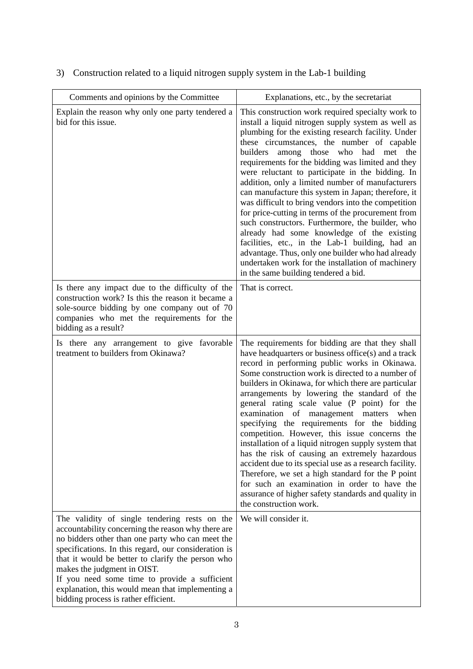| Comments and opinions by the Committee                                                                                                                                                                                                                                                                                                                                                                                                           | Explanations, etc., by the secretariat                                                                                                                                                                                                                                                                                                                                                                                                                                                                                                                                                                                                                                                                                                                                                                                                                                                         |
|--------------------------------------------------------------------------------------------------------------------------------------------------------------------------------------------------------------------------------------------------------------------------------------------------------------------------------------------------------------------------------------------------------------------------------------------------|------------------------------------------------------------------------------------------------------------------------------------------------------------------------------------------------------------------------------------------------------------------------------------------------------------------------------------------------------------------------------------------------------------------------------------------------------------------------------------------------------------------------------------------------------------------------------------------------------------------------------------------------------------------------------------------------------------------------------------------------------------------------------------------------------------------------------------------------------------------------------------------------|
| Explain the reason why only one party tendered a<br>bid for this issue.                                                                                                                                                                                                                                                                                                                                                                          | This construction work required specialty work to<br>install a liquid nitrogen supply system as well as<br>plumbing for the existing research facility. Under<br>these circumstances, the number of capable<br>among those who had met the<br>builders<br>requirements for the bidding was limited and they<br>were reluctant to participate in the bidding. In<br>addition, only a limited number of manufacturers<br>can manufacture this system in Japan; therefore, it<br>was difficult to bring vendors into the competition<br>for price-cutting in terms of the procurement from<br>such constructors. Furthermore, the builder, who<br>already had some knowledge of the existing<br>facilities, etc., in the Lab-1 building, had an<br>advantage. Thus, only one builder who had already<br>undertaken work for the installation of machinery<br>in the same building tendered a bid. |
| Is there any impact due to the difficulty of the<br>construction work? Is this the reason it became a<br>sole-source bidding by one company out of 70<br>companies who met the requirements for the<br>bidding as a result?                                                                                                                                                                                                                      | That is correct.                                                                                                                                                                                                                                                                                                                                                                                                                                                                                                                                                                                                                                                                                                                                                                                                                                                                               |
| Is there any arrangement to give favorable<br>treatment to builders from Okinawa?                                                                                                                                                                                                                                                                                                                                                                | The requirements for bidding are that they shall<br>have headquarters or business office(s) and a track<br>record in performing public works in Okinawa.<br>Some construction work is directed to a number of<br>builders in Okinawa, for which there are particular<br>arrangements by lowering the standard of the<br>general rating scale value (P point) for the<br>examination of management matters<br>when<br>specifying the requirements for the bidding<br>competition. However, this issue concerns the<br>installation of a liquid nitrogen supply system that<br>has the risk of causing an extremely hazardous<br>accident due to its special use as a research facility.<br>Therefore, we set a high standard for the P point<br>for such an examination in order to have the<br>assurance of higher safety standards and quality in<br>the construction work.                   |
| The validity of single tendering rests on the<br>accountability concerning the reason why there are<br>no bidders other than one party who can meet the<br>specifications. In this regard, our consideration is<br>that it would be better to clarify the person who<br>makes the judgment in OIST.<br>If you need some time to provide a sufficient<br>explanation, this would mean that implementing a<br>bidding process is rather efficient. | We will consider it.                                                                                                                                                                                                                                                                                                                                                                                                                                                                                                                                                                                                                                                                                                                                                                                                                                                                           |

# 3) Construction related to a liquid nitrogen supply system in the Lab-1 building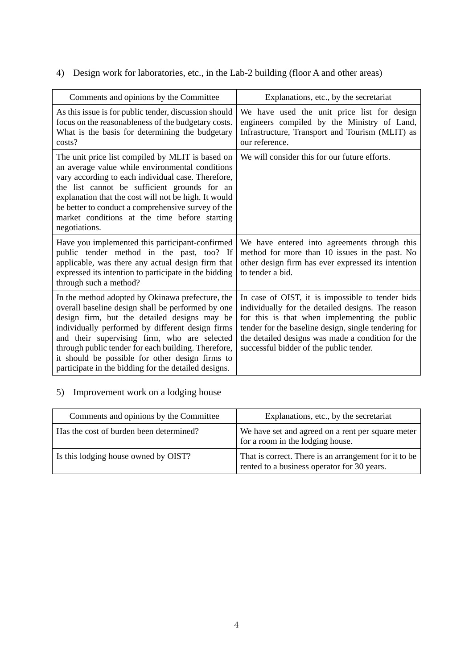4) Design work for laboratories, etc., in the Lab-2 building (floor A and other areas)

| Comments and opinions by the Committee                                                                                                                                                                                                                                                                                                                                                                                      | Explanations, etc., by the secretariat                                                                                                                                                                                                                                                                         |
|-----------------------------------------------------------------------------------------------------------------------------------------------------------------------------------------------------------------------------------------------------------------------------------------------------------------------------------------------------------------------------------------------------------------------------|----------------------------------------------------------------------------------------------------------------------------------------------------------------------------------------------------------------------------------------------------------------------------------------------------------------|
| As this issue is for public tender, discussion should<br>focus on the reasonableness of the budgetary costs.<br>What is the basis for determining the budgetary<br>costs?                                                                                                                                                                                                                                                   | We have used the unit price list for design<br>engineers compiled by the Ministry of Land,<br>Infrastructure, Transport and Tourism (MLIT) as<br>our reference.                                                                                                                                                |
| The unit price list compiled by MLIT is based on<br>an average value while environmental conditions<br>vary according to each individual case. Therefore,<br>the list cannot be sufficient grounds for an<br>explanation that the cost will not be high. It would<br>be better to conduct a comprehensive survey of the<br>market conditions at the time before starting<br>negotiations.                                   | We will consider this for our future efforts.                                                                                                                                                                                                                                                                  |
| Have you implemented this participant-confirmed<br>public tender method in the past, too? If<br>applicable, was there any actual design firm that<br>expressed its intention to participate in the bidding<br>through such a method?                                                                                                                                                                                        | We have entered into agreements through this<br>method for more than 10 issues in the past. No<br>other design firm has ever expressed its intention<br>to tender a bid.                                                                                                                                       |
| In the method adopted by Okinawa prefecture, the<br>overall baseline design shall be performed by one<br>design firm, but the detailed designs may be<br>individually performed by different design firms<br>and their supervising firm, who are selected<br>through public tender for each building. Therefore,<br>it should be possible for other design firms to<br>participate in the bidding for the detailed designs. | In case of OIST, it is impossible to tender bids<br>individually for the detailed designs. The reason<br>for this is that when implementing the public<br>tender for the baseline design, single tendering for<br>the detailed designs was made a condition for the<br>successful bidder of the public tender. |

### 5) Improvement work on a lodging house

| Comments and opinions by the Committee  | Explanations, etc., by the secretariat                                                               |
|-----------------------------------------|------------------------------------------------------------------------------------------------------|
| Has the cost of burden been determined? | We have set and agreed on a rent per square meter<br>for a room in the lodging house.                |
| Is this lodging house owned by OIST?    | That is correct. There is an arrangement for it to be<br>rented to a business operator for 30 years. |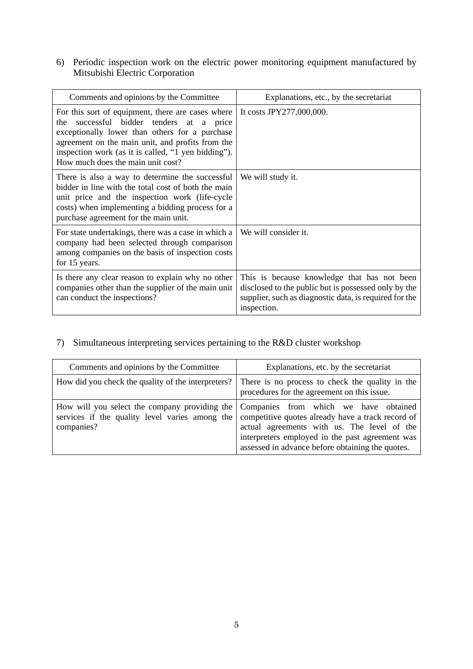6) Periodic inspection work on the electric power monitoring equipment manufactured by Mitsubishi Electric Corporation

| Comments and opinions by the Committee                                                                                                                                                                                                                                                             | Explanations, etc., by the secretariat                                                                                                                                       |
|----------------------------------------------------------------------------------------------------------------------------------------------------------------------------------------------------------------------------------------------------------------------------------------------------|------------------------------------------------------------------------------------------------------------------------------------------------------------------------------|
| For this sort of equipment, there are cases where<br>successful bidder tenders at a price<br>the<br>exceptionally lower than others for a purchase<br>agreement on the main unit, and profits from the<br>inspection work (as it is called, "1 yen bidding").<br>How much does the main unit cost? | It costs JPY277,000,000.                                                                                                                                                     |
| There is also a way to determine the successful<br>bidder in line with the total cost of both the main<br>unit price and the inspection work (life-cycle<br>costs) when implementing a bidding process for a<br>purchase agreement for the main unit.                                              | We will study it.                                                                                                                                                            |
| For state undertakings, there was a case in which a<br>company had been selected through comparison<br>among companies on the basis of inspection costs<br>for 15 years.                                                                                                                           | We will consider it.                                                                                                                                                         |
| Is there any clear reason to explain why no other<br>companies other than the supplier of the main unit<br>can conduct the inspections?                                                                                                                                                            | This is because knowledge that has not been<br>disclosed to the public but is possessed only by the<br>supplier, such as diagnostic data, is required for the<br>inspection. |

#### 7) Simultaneous interpreting services pertaining to the R&D cluster workshop

| Comments and opinions by the Committee                       | Explanations, etc. by the secretariat                                                                                                                                                                                                                                                          |
|--------------------------------------------------------------|------------------------------------------------------------------------------------------------------------------------------------------------------------------------------------------------------------------------------------------------------------------------------------------------|
| How did you check the quality of the interpreters?           | There is no process to check the quality in the<br>procedures for the agreement on this issue.                                                                                                                                                                                                 |
| services if the quality level varies among the<br>companies? | How will you select the company providing the Companies from which we have obtained<br>competitive quotes already have a track record of<br>actual agreements with us. The level of the<br>interpreters employed in the past agreement was<br>assessed in advance before obtaining the quotes. |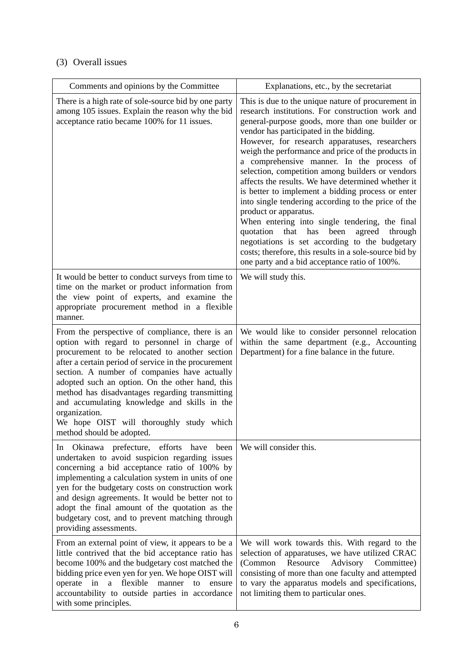# (3) Overall issues

| Comments and opinions by the Committee                                                                                                                                                                                                                                                                                                                                                                                                                                                                    | Explanations, etc., by the secretariat                                                                                                                                                                                                                                                                                                                                                                                                                                                                                                                                                                                                                                                                                                                                                                                                                                           |
|-----------------------------------------------------------------------------------------------------------------------------------------------------------------------------------------------------------------------------------------------------------------------------------------------------------------------------------------------------------------------------------------------------------------------------------------------------------------------------------------------------------|----------------------------------------------------------------------------------------------------------------------------------------------------------------------------------------------------------------------------------------------------------------------------------------------------------------------------------------------------------------------------------------------------------------------------------------------------------------------------------------------------------------------------------------------------------------------------------------------------------------------------------------------------------------------------------------------------------------------------------------------------------------------------------------------------------------------------------------------------------------------------------|
| There is a high rate of sole-source bid by one party<br>among 105 issues. Explain the reason why the bid<br>acceptance ratio became 100% for 11 issues.                                                                                                                                                                                                                                                                                                                                                   | This is due to the unique nature of procurement in<br>research institutions. For construction work and<br>general-purpose goods, more than one builder or<br>vendor has participated in the bidding.<br>However, for research apparatuses, researchers<br>weigh the performance and price of the products in<br>a comprehensive manner. In the process of<br>selection, competition among builders or vendors<br>affects the results. We have determined whether it<br>is better to implement a bidding process or enter<br>into single tendering according to the price of the<br>product or apparatus.<br>When entering into single tendering, the final<br>quotation<br>that<br>has<br>been<br>through<br>agreed<br>negotiations is set according to the budgetary<br>costs; therefore, this results in a sole-source bid by<br>one party and a bid acceptance ratio of 100%. |
| It would be better to conduct surveys from time to<br>time on the market or product information from<br>the view point of experts, and examine the<br>appropriate procurement method in a flexible<br>manner.                                                                                                                                                                                                                                                                                             | We will study this.                                                                                                                                                                                                                                                                                                                                                                                                                                                                                                                                                                                                                                                                                                                                                                                                                                                              |
| From the perspective of compliance, there is an<br>option with regard to personnel in charge of<br>procurement to be relocated to another section<br>after a certain period of service in the procurement<br>section. A number of companies have actually<br>adopted such an option. On the other hand, this<br>method has disadvantages regarding transmitting<br>and accumulating knowledge and skills in the<br>organization.<br>We hope OIST will thoroughly study which<br>method should be adopted. | We would like to consider personnel relocation<br>within the same department (e.g., Accounting<br>Department) for a fine balance in the future.                                                                                                                                                                                                                                                                                                                                                                                                                                                                                                                                                                                                                                                                                                                                  |
| In Okinawa prefecture, efforts have<br>been<br>undertaken to avoid suspicion regarding issues<br>concerning a bid acceptance ratio of 100% by<br>implementing a calculation system in units of one<br>yen for the budgetary costs on construction work<br>and design agreements. It would be better not to<br>adopt the final amount of the quotation as the<br>budgetary cost, and to prevent matching through<br>providing assessments.                                                                 | We will consider this.                                                                                                                                                                                                                                                                                                                                                                                                                                                                                                                                                                                                                                                                                                                                                                                                                                                           |
| From an external point of view, it appears to be a<br>little contrived that the bid acceptance ratio has<br>become 100% and the budgetary cost matched the<br>bidding price even yen for yen. We hope OIST will<br>operate in<br>a flexible<br>manner<br>to<br>ensure<br>accountability to outside parties in accordance<br>with some principles.                                                                                                                                                         | We will work towards this. With regard to the<br>selection of apparatuses, we have utilized CRAC<br>Advisory Committee)<br>(Common<br>Resource<br>consisting of more than one faculty and attempted<br>to vary the apparatus models and specifications,<br>not limiting them to particular ones.                                                                                                                                                                                                                                                                                                                                                                                                                                                                                                                                                                                 |